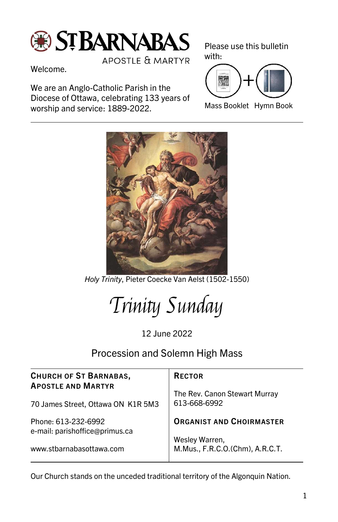

**APOSTLE & MARTYR** 

Welcome.

We are an Anglo-Catholic Parish in the Diocese of Ottawa, celebrating 133 years of worship and service: 1889-2022.

Please use this bulletin with:





Holy Trinity, Pieter Coecke Van Aelst (1502-1550)

Trinity Sunday

12 June 2022

Procession and Solemn High Mass

| <b>CHURCH OF ST BARNABAS,</b><br><b>APOSTLE AND MARTYR</b> | <b>RECTOR</b>                                     |  |
|------------------------------------------------------------|---------------------------------------------------|--|
| 70 James Street, Ottawa ON K1R 5M3                         | The Rev. Canon Stewart Murray<br>613-668-6992     |  |
| Phone: 613-232-6992<br>e-mail: parishoffice@primus.ca      | <b>ORGANIST AND CHOIRMASTER</b>                   |  |
| www.stbarnabasottawa.com                                   | Wesley Warren,<br>M.Mus., F.R.C.O.(Chm), A.R.C.T. |  |

Our Church stands on the unceded traditional territory of the Algonquin Nation.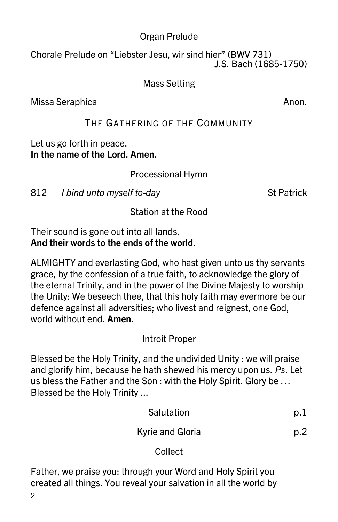## Organ Prelude

Chorale Prelude on "Liebster Jesu, wir sind hier" (BWV 731) J.S. Bach (1685-1750)

#### Mass Setting

Missa Seraphica **Anon.** Anon.

# THE GATHERING OF THE COMMUNITY

#### Let us go forth in peace. In the name of the Lord. Amen.

Processional Hymn

812 I bind unto myself to-day St Patrick

Station at the Rood

### Their sound is gone out into all lands. And their words to the ends of the world.

ALMIGHTY and everlasting God, who hast given unto us thy servants grace, by the confession of a true faith, to acknowledge the glory of the eternal Trinity, and in the power of the Divine Majesty to worship the Unity: We beseech thee, that this holy faith may evermore be our defence against all adversities; who livest and reignest, one God, world without end. Amen.

# Introit Proper

Blessed be the Holy Trinity, and the undivided Unity : we will praise and glorify him, because he hath shewed his mercy upon us. Ps. Let us bless the Father and the Son : with the Holy Spirit. Glory be … Blessed be the Holy Trinity ...

Kyrie and Gloria **p.2** 

# Collect

Father, we praise you: through your Word and Holy Spirit you created all things. You reveal your salvation in all the world by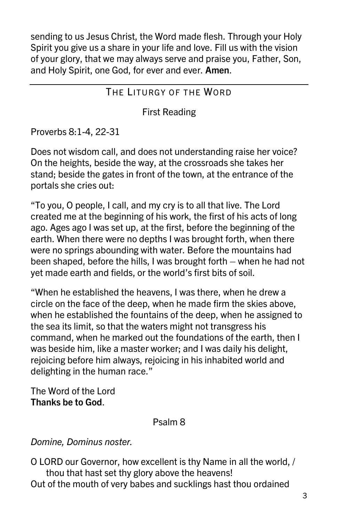sending to us Jesus Christ, the Word made flesh. Through your Holy Spirit you give us a share in your life and love. Fill us with the vision of your glory, that we may always serve and praise you, Father, Son, and Holy Spirit, one God, for ever and ever. Amen.

# THE LITURGY OF THE WORD

First Reading

Proverbs 8:1-4, 22-31

Does not wisdom call, and does not understanding raise her voice? On the heights, beside the way, at the crossroads she takes her stand; beside the gates in front of the town, at the entrance of the portals she cries out:

"To you, O people, I call, and my cry is to all that live. The Lord created me at the beginning of his work, the first of his acts of long ago. Ages ago I was set up, at the first, before the beginning of the earth. When there were no depths I was brought forth, when there were no springs abounding with water. Before the mountains had been shaped, before the hills, I was brought forth – when he had not yet made earth and fields, or the world's first bits of soil.

"When he established the heavens, I was there, when he drew a circle on the face of the deep, when he made firm the skies above, when he established the fountains of the deep, when he assigned to the sea its limit, so that the waters might not transgress his command, when he marked out the foundations of the earth, then I was beside him, like a master worker; and I was daily his delight, rejoicing before him always, rejoicing in his inhabited world and delighting in the human race."

The Word of the Lord Thanks be to God.

Psalm 8

Domine, Dominus noster.

O LORD our Governor, how excellent is thy Name in all the world, / thou that hast set thy glory above the heavens! Out of the mouth of very babes and sucklings hast thou ordained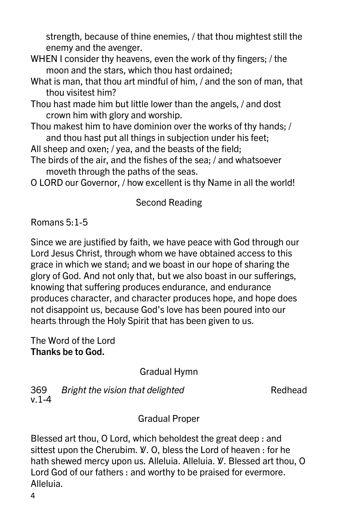strength, because of thine enemies, / that thou mightest still the enemy and the avenger.

- WHEN I consider thy heavens, even the work of thy fingers; / the moon and the stars, which thou hast ordained;
- What is man, that thou art mindful of him, / and the son of man, that thou visitest him?
- Thou hast made him but little lower than the angels, / and dost crown him with glory and worship.
- Thou makest him to have dominion over the works of thy hands; / and thou hast put all things in subjection under his feet;
- All sheep and oxen; / yea, and the beasts of the field;
- The birds of the air, and the fishes of the sea; / and whatsoever moveth through the paths of the seas.
- O LORD our Governor, / how excellent is thy Name in all the world!

# Second Reading

Romans 5:1-5

Since we are justified by faith, we have peace with God through our Lord Jesus Christ, through whom we have obtained access to this grace in which we stand; and we boast in our hope of sharing the glory of God. And not only that, but we also boast in our sufferings, knowing that suffering produces endurance, and endurance produces character, and character produces hope, and hope does not disappoint us, because God's love has been poured into our hearts through the Holy Spirit that has been given to us.

The Word of the Lord Thanks be to God.

Gradual Hymn

369 Bright the vision that delighted Redhead v.1-4

Gradual Proper

Blessed art thou, O Lord, which beholdest the great deep : and sittest upon the Cherubim. *W. O, bless the Lord of heaven: for he* hath shewed mercy upon us. Alleluia. Alleluia. *W*. Blessed art thou, O Lord God of our fathers : and worthy to be praised for evermore. Alleluia.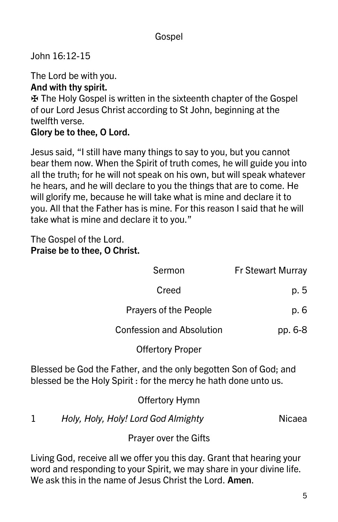# Gospel

John 16:12-15

The Lord be with you.

## And with thy spirit.

✠ The Holy Gospel is written in the sixteenth chapter of the Gospel of our Lord Jesus Christ according to St John, beginning at the twelfth verse.

# Glory be to thee, O Lord.

Jesus said, "I still have many things to say to you, but you cannot bear them now. When the Spirit of truth comes, he will guide you into all the truth; for he will not speak on his own, but will speak whatever he hears, and he will declare to you the things that are to come. He will glorify me, because he will take what is mine and declare it to you. All that the Father has is mine. For this reason I said that he will take what is mine and declare it to you."

The Gospel of the Lord. Praise be to thee, O Christ.

| Sermon                           | <b>Fr Stewart Murray</b> |
|----------------------------------|--------------------------|
| Creed                            | p. 5                     |
| Prayers of the People            | p. 6                     |
| <b>Confession and Absolution</b> | pp. 6-8                  |
| <b>Offertory Proper</b>          |                          |

Blessed be God the Father, and the only begotten Son of God; and blessed be the Holy Spirit : for the mercy he hath done unto us.

Offertory Hymn

| Holy, Holy, Holy! Lord God Almighty | Nicaea |
|-------------------------------------|--------|
|                                     |        |

Prayer over the Gifts

Living God, receive all we offer you this day. Grant that hearing your word and responding to your Spirit, we may share in your divine life. We ask this in the name of Jesus Christ the Lord. **Amen**.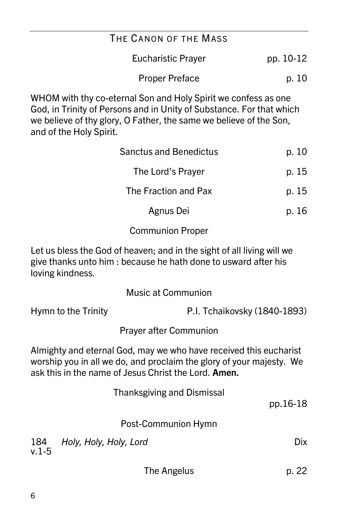# THE CANON OF THE MASS Eucharistic Prayer pp. 10-12 Proper Preface p. 10

WHOM with thy co-eternal Son and Holy Spirit we confess as one God, in Trinity of Persons and in Unity of Substance. For that which we believe of thy glory, O Father, the same we believe of the Son, and of the Holy Spirit.

| <b>Sanctus and Benedictus</b>                                                                                                                                                                     |                              | p. 10    |  |  |
|---------------------------------------------------------------------------------------------------------------------------------------------------------------------------------------------------|------------------------------|----------|--|--|
| The Lord's Prayer                                                                                                                                                                                 |                              | p. 15    |  |  |
| The Fraction and Pax                                                                                                                                                                              |                              | p. 15    |  |  |
| Agnus Dei                                                                                                                                                                                         |                              | p. 16    |  |  |
| <b>Communion Proper</b>                                                                                                                                                                           |                              |          |  |  |
| Let us bless the God of heaven; and in the sight of all living will we<br>give thanks unto him : because he hath done to usward after his<br>loving kindness.                                     |                              |          |  |  |
| <b>Music at Communion</b>                                                                                                                                                                         |                              |          |  |  |
| Hymn to the Trinity                                                                                                                                                                               | P.I. Tchaikovsky (1840-1893) |          |  |  |
| <b>Prayer after Communion</b>                                                                                                                                                                     |                              |          |  |  |
| Almighty and eternal God, may we who have received this eucharist<br>worship you in all we do, and proclaim the glory of your majesty. We<br>ask this in the name of Jesus Christ the Lord. Amen. |                              |          |  |  |
| <b>Thanksgiving and Dismissal</b>                                                                                                                                                                 |                              | pp.16-18 |  |  |
| Post-Communion Hymn                                                                                                                                                                               |                              |          |  |  |
| 184<br>Holy, Holy, Holy, Lord<br>$v.1 - 5$                                                                                                                                                        |                              | Dix      |  |  |

The Angelus p. 22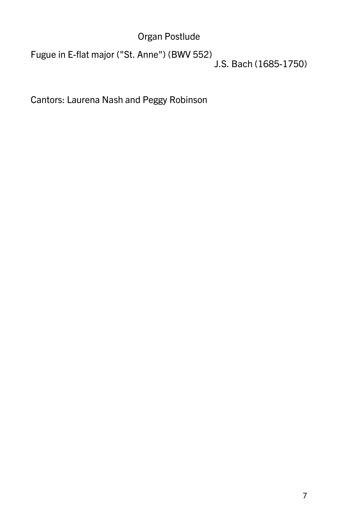# Organ Postlude

Fugue in E-flat major ("St. Anne") (BWV 552) J.S. Bach (1685-1750)

Cantors: Laurena Nash and Peggy Robinson